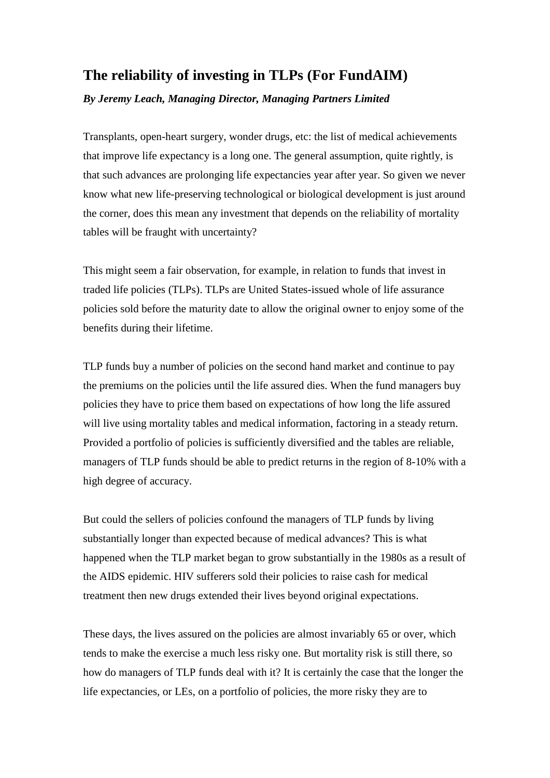## **The reliability of investing in TLPs (For FundAIM)**

*By Jeremy Leach, Managing Director, Managing Partners Limited*

Transplants, open-heart surgery, wonder drugs, etc: the list of medical achievements that improve life expectancy is a long one. The general assumption, quite rightly, is that such advances are prolonging life expectancies year after year. So given we never know what new life-preserving technological or biological development is just around the corner, does this mean any investment that depends on the reliability of mortality tables will be fraught with uncertainty?

This might seem a fair observation, for example, in relation to funds that invest in traded life policies (TLPs). TLPs are United States-issued whole of life assurance policies sold before the maturity date to allow the original owner to enjoy some of the benefits during their lifetime.

TLP funds buy a number of policies on the second hand market and continue to pay the premiums on the policies until the life assured dies. When the fund managers buy policies they have to price them based on expectations of how long the life assured will live using mortality tables and medical information, factoring in a steady return. Provided a portfolio of policies is sufficiently diversified and the tables are reliable, managers of TLP funds should be able to predict returns in the region of 8-10% with a high degree of accuracy.

But could the sellers of policies confound the managers of TLP funds by living substantially longer than expected because of medical advances? This is what happened when the TLP market began to grow substantially in the 1980s as a result of the AIDS epidemic. HIV sufferers sold their policies to raise cash for medical treatment then new drugs extended their lives beyond original expectations.

These days, the lives assured on the policies are almost invariably 65 or over, which tends to make the exercise a much less risky one. But mortality risk is still there, so how do managers of TLP funds deal with it? It is certainly the case that the longer the life expectancies, or LEs, on a portfolio of policies, the more risky they are to